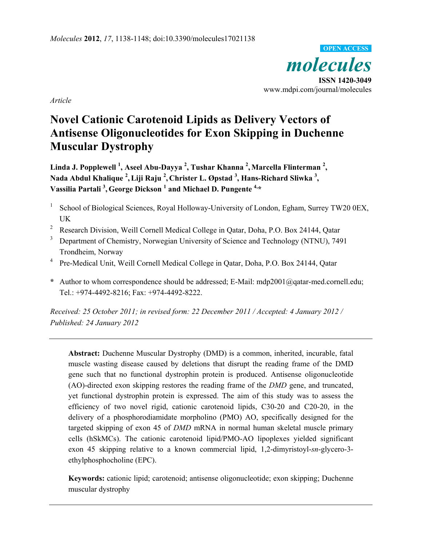

*Article* 

# **Novel Cationic Carotenoid Lipids as Delivery Vectors of Antisense Oligonucleotides for Exon Skipping in Duchenne Muscular Dystrophy**

Linda J. Popplewell <sup>1</sup>, Aseel Abu-Dayya <sup>2</sup>, Tushar Khanna <sup>2</sup>, Marcella Flinterman <sup>2</sup>, <code>Nada Abdul Khalique <sup>2</sup>, Liji Raju <sup>2</sup>, Christer L. Øpstad <sup>3</sup>, Hans-Richard Sliwka <sup>3</sup>,</code> **Vassilia Partali 3 , George Dickson <sup>1</sup> and Michael D. Pungente 4,\*** 

- 1 School of Biological Sciences, Royal Holloway-University of London, Egham, Surrey TW20 0EX, UK
- <sup>2</sup> Research Division, Weill Cornell Medical College in Qatar, Doha, P.O. Box 24144, Qatar
- 3 Department of Chemistry, Norwegian University of Science and Technology (NTNU), 7491 Trondheim, Norway
- <sup>4</sup> Pre-Medical Unit, Weill Cornell Medical College in Qatar, Doha, P.O. Box 24144, Qatar
- **\*** Author to whom correspondence should be addressed; E-Mail: mdp2001@qatar-med.cornell.edu; Tel.: +974-4492-8216; Fax: +974-4492-8222.

*Received: 25 October 2011; in revised form: 22 December 2011 / Accepted: 4 January 2012 / Published: 24 January 2012* 

**Abstract:** Duchenne Muscular Dystrophy (DMD) is a common, inherited, incurable, fatal muscle wasting disease caused by deletions that disrupt the reading frame of the DMD gene such that no functional dystrophin protein is produced. Antisense oligonucleotide (AO)-directed exon skipping restores the reading frame of the *DMD* gene, and truncated, yet functional dystrophin protein is expressed. The aim of this study was to assess the efficiency of two novel rigid, cationic carotenoid lipids, C30-20 and C20-20, in the delivery of a phosphorodiamidate morpholino (PMO) AO, specifically designed for the targeted skipping of exon 45 of *DMD* mRNA in normal human skeletal muscle primary cells (hSkMCs). The cationic carotenoid lipid/PMO-AO lipoplexes yielded significant exon 45 skipping relative to a known commercial lipid, 1,2-dimyristoyl-*sn*-glycero-3 ethylphosphocholine (EPC).

**Keywords:** cationic lipid; carotenoid; antisense oligonucleotide; exon skipping; Duchenne muscular dystrophy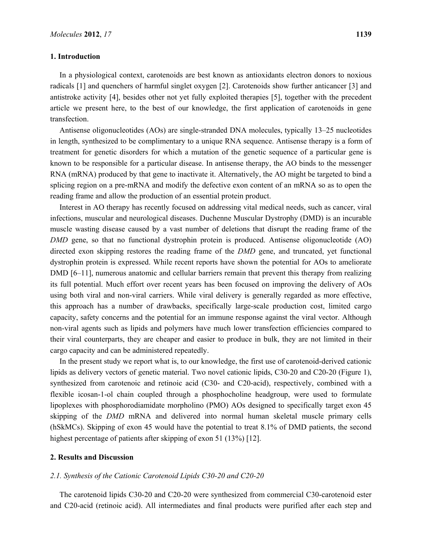#### **1. Introduction**

In a physiological context, carotenoids are best known as antioxidants electron donors to noxious radicals [1] and quenchers of harmful singlet oxygen [2]. Carotenoids show further anticancer [3] and antistroke activity [4], besides other not yet fully exploited therapies [5], together with the precedent article we present here, to the best of our knowledge, the first application of carotenoids in gene transfection.

Antisense oligonucleotides (AOs) are single-stranded DNA molecules, typically 13–25 nucleotides in length, synthesized to be complimentary to a unique RNA sequence. Antisense therapy is a form of treatment for genetic disorders for which a mutation of the genetic sequence of a particular gene is known to be responsible for a particular disease. In antisense therapy, the AO binds to the messenger RNA (mRNA) produced by that gene to inactivate it. Alternatively, the AO might be targeted to bind a splicing region on a pre-mRNA and modify the defective exon content of an mRNA so as to open the reading frame and allow the production of an essential protein product.

Interest in AO therapy has recently focused on addressing vital medical needs, such as cancer, viral infections, muscular and neurological diseases. Duchenne Muscular Dystrophy (DMD) is an incurable muscle wasting disease caused by a vast number of deletions that disrupt the reading frame of the *DMD* gene, so that no functional dystrophin protein is produced. Antisense oligonucleotide (AO) directed exon skipping restores the reading frame of the *DMD* gene, and truncated, yet functional dystrophin protein is expressed. While recent reports have shown the potential for AOs to ameliorate DMD [6–11], numerous anatomic and cellular barriers remain that prevent this therapy from realizing its full potential. Much effort over recent years has been focused on improving the delivery of AOs using both viral and non-viral carriers. While viral delivery is generally regarded as more effective, this approach has a number of drawbacks, specifically large-scale production cost, limited cargo capacity, safety concerns and the potential for an immune response against the viral vector. Although non-viral agents such as lipids and polymers have much lower transfection efficiencies compared to their viral counterparts, they are cheaper and easier to produce in bulk, they are not limited in their cargo capacity and can be administered repeatedly.

In the present study we report what is, to our knowledge, the first use of carotenoid-derived cationic lipids as delivery vectors of genetic material. Two novel cationic lipids, C30-20 and C20-20 (Figure 1), synthesized from carotenoic and retinoic acid (C30- and C20-acid), respectively, combined with a flexible icosan-1-ol chain coupled through a phosphocholine headgroup, were used to formulate lipoplexes with phosphorodiamidate morpholino (PMO) AOs designed to specifically target exon 45 skipping of the *DMD* mRNA and delivered into normal human skeletal muscle primary cells (hSkMCs). Skipping of exon 45 would have the potential to treat 8.1% of DMD patients, the second highest percentage of patients after skipping of exon 51 (13%) [12].

### **2. Results and Discussion**

#### *2.1. Synthesis of the Cationic Carotenoid Lipids C30-20 and C20-20*

The carotenoid lipids C30-20 and C20-20 were synthesized from commercial C30-carotenoid ester and C20-acid (retinoic acid). All intermediates and final products were purified after each step and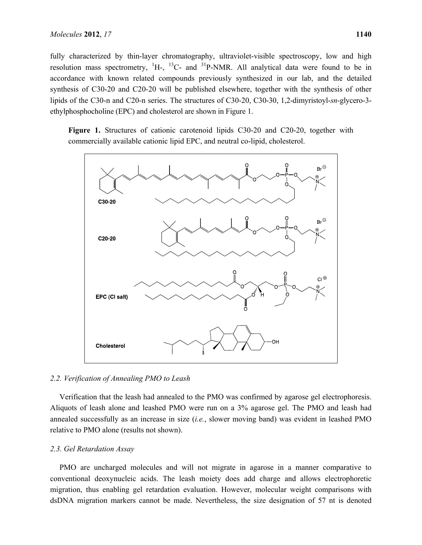fully characterized by thin-layer chromatography, ultraviolet-visible spectroscopy, low and high resolution mass spectrometry,  ${}^{1}H$ -,  ${}^{13}C$ - and  ${}^{31}P$ -NMR. All analytical data were found to be in accordance with known related compounds previously synthesized in our lab, and the detailed synthesis of C30-20 and C20-20 will be published elsewhere, together with the synthesis of other lipids of the C30-n and C20-n series. The structures of C30-20, C30-30, 1,2-dimyristoyl-*sn*-glycero-3 ethylphosphocholine (EPC) and cholesterol are shown in Figure 1.

**Figure 1.** Structures of cationic carotenoid lipids C30-20 and C20-20, together with commercially available cationic lipid EPC, and neutral co-lipid, cholesterol.



# *2.2. Verification of Annealing PMO to Leash*

Verification that the leash had annealed to the PMO was confirmed by agarose gel electrophoresis. Aliquots of leash alone and leashed PMO were run on a 3% agarose gel. The PMO and leash had annealed successfully as an increase in size (*i.e.*, slower moving band) was evident in leashed PMO relative to PMO alone (results not shown).

#### *2.3. Gel Retardation Assay*

PMO are uncharged molecules and will not migrate in agarose in a manner comparative to conventional deoxynucleic acids. The leash moiety does add charge and allows electrophoretic migration, thus enabling gel retardation evaluation. However, molecular weight comparisons with dsDNA migration markers cannot be made. Nevertheless, the size designation of 57 nt is denoted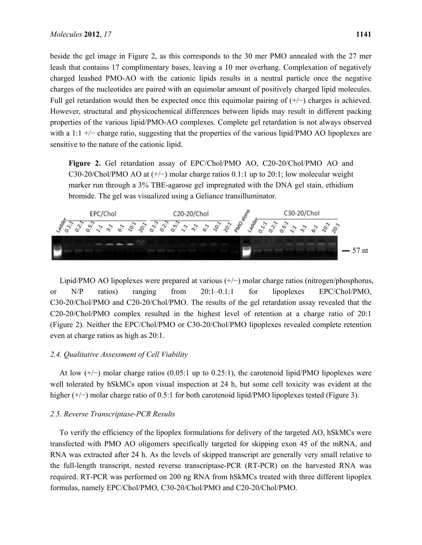beside the gel image in Figure 2, as this corresponds to the 30 mer PMO annealed with the 27 mer leash that contains 17 complimentary bases, leaving a 10 mer overhang. Complexation of negatively charged leashed PMO-AO with the cationic lipids results in a neutral particle once the negative charges of the nucleotides are paired with an equimolar amount of positively charged lipid molecules. Full gel retardation would then be expected once this equimolar pairing of (+/−) charges is achieved. However, structural and physicochemical differences between lipids may result in different packing properties of the various lipid/PMO-AO complexes. Complete gel retardation is not always observed with a 1:1 +/− charge ratio, suggesting that the properties of the various lipid/PMO AO lipoplexes are sensitive to the nature of the cationic lipid.

**Figure 2.** Gel retardation assay of EPC/Chol/PMO AO, C20-20/Chol/PMO AO and C30-20/Chol/PMO AO at (+/−) molar charge ratios 0.1:1 up to 20:1; low molecular weight marker run through a 3% TBE-agarose gel impregnated with the DNA gel stain, ethidium bromide. The gel was visualized using a Geliance transilluminator.



Lipid/PMO AO lipoplexes were prepared at various (+/−) molar charge ratios (nitrogen/phosphorus, or N/P ratios) ranging from 20:1–0.1:1 for lipoplexes EPC/Chol/PMO, C30-20/Chol/PMO and C20-20/Chol/PMO. The results of the gel retardation assay revealed that the C20-20/Chol/PMO complex resulted in the highest level of retention at a charge ratio of 20:1 (Figure 2). Neither the EPC/Chol/PMO or C30-20/Chol/PMO lipoplexes revealed complete retention even at charge ratios as high as 20:1.

### *2.4. Qualitative Assessment of Cell Viability*

At low (+/−) molar charge ratios (0.05:1 up to 0.25:1), the carotenoid lipid/PMO lipoplexes were well tolerated by hSkMCs upon visual inspection at 24 h, but some cell toxicity was evident at the higher (+/−) molar charge ratio of 0.5:1 for both carotenoid lipid/PMO lipoplexes tested (Figure 3).

### *2.5. Reverse Transcriptase-PCR Results*

To verify the efficiency of the lipoplex formulations for delivery of the targeted AO, hSkMCs were transfected with PMO AO oligomers specifically targeted for skipping exon 45 of the mRNA, and RNA was extracted after 24 h. As the levels of skipped transcript are generally very small relative to the full-length transcript, nested reverse transcriptase-PCR (RT-PCR) on the harvested RNA was required. RT-PCR was performed on 200 ng RNA from hSkMCs treated with three different lipoplex formulas, namely EPC/Chol/PMO, C30-20/Chol/PMO and C20-20/Chol/PMO.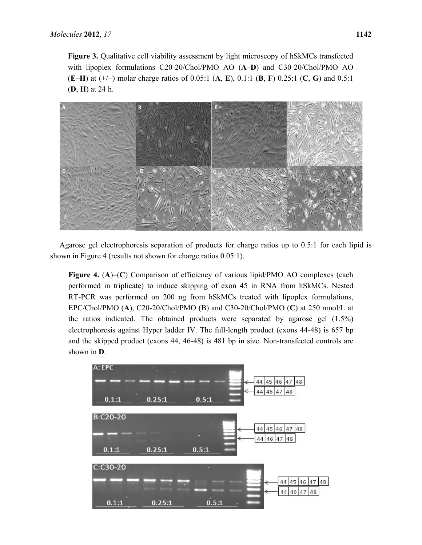**Figure 3.** Qualitative cell viability assessment by light microscopy of hSkMCs transfected with lipoplex formulations C20-20/Chol/PMO AO (**A**–**D**) and C30-20/Chol/PMO AO (**E**–**H**) at (+/−) molar charge ratios of 0.05:1 (**A**, **E**), 0.1:1 (**B**, **F**) 0.25:1 (**C**, **G**) and 0.5:1 (**D**, **H**) at 24 h.



Agarose gel electrophoresis separation of products for charge ratios up to 0.5:1 for each lipid is shown in Figure 4 (results not shown for charge ratios 0.05:1).

**Figure 4.** (**A**)–(**C**) Comparison of efficiency of various lipid/PMO AO complexes (each performed in triplicate) to induce skipping of exon 45 in RNA from hSkMCs. Nested RT-PCR was performed on 200 ng from hSkMCs treated with lipoplex formulations, EPC/Chol/PMO (**A**), C20-20/Chol/PMO (B) and C30-20/Chol/PMO (**C**) at 250 nmol/L at the ratios indicated. The obtained products were separated by agarose gel (1.5%) electrophoresis against Hyper ladder IV. The full-length product (exons 44-48) is 657 bp and the skipped product (exons 44, 46-48) is 481 bp in size. Non-transfected controls are shown in **D**.

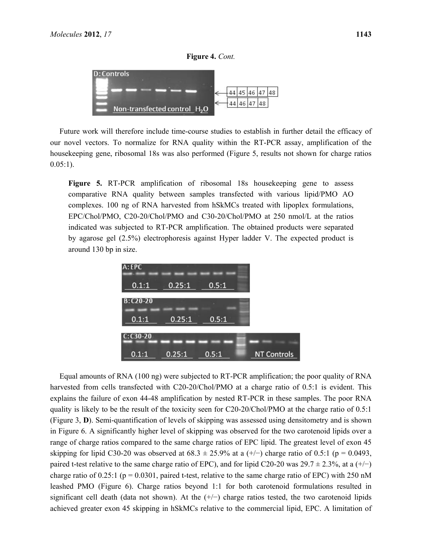# **Figure 4.** *Cont.*



Future work will therefore include time-course studies to establish in further detail the efficacy of our novel vectors. To normalize for RNA quality within the RT-PCR assay, amplification of the housekeeping gene, ribosomal 18s was also performed (Figure 5, results not shown for charge ratios  $0.05:1$ ).

**Figure 5.** RT-PCR amplification of ribosomal 18s housekeeping gene to assess comparative RNA quality between samples transfected with various lipid/PMO AO complexes. 100 ng of RNA harvested from hSkMCs treated with lipoplex formulations, EPC/Chol/PMO, C20-20/Chol/PMO and C30-20/Chol/PMO at 250 nmol/L at the ratios indicated was subjected to RT-PCR amplification. The obtained products were separated by agarose gel (2.5%) electrophoresis against Hyper ladder V. The expected product is around 130 bp in size.



Equal amounts of RNA (100 ng) were subjected to RT-PCR amplification; the poor quality of RNA harvested from cells transfected with C20-20/Chol/PMO at a charge ratio of 0.5:1 is evident. This explains the failure of exon 44-48 amplification by nested RT-PCR in these samples. The poor RNA quality is likely to be the result of the toxicity seen for C20-20/Chol/PMO at the charge ratio of 0.5:1 (Figure 3, **D**). Semi-quantification of levels of skipping was assessed using densitometry and is shown in Figure 6. A significantly higher level of skipping was observed for the two carotenoid lipids over a range of charge ratios compared to the same charge ratios of EPC lipid. The greatest level of exon 45 skipping for lipid C30-20 was observed at  $68.3 \pm 25.9\%$  at a  $(+/-)$  charge ratio of 0.5:1 (p = 0.0493, paired t-test relative to the same charge ratio of EPC), and for lipid C20-20 was 29.7  $\pm$  2.3%, at a (+/−) charge ratio of  $0.25:1$  (p = 0.0301, paired t-test, relative to the same charge ratio of EPC) with 250 nM leashed PMO (Figure 6). Charge ratios beyond 1:1 for both carotenoid formulations resulted in significant cell death (data not shown). At the  $(+/-)$  charge ratios tested, the two carotenoid lipids achieved greater exon 45 skipping in hSkMCs relative to the commercial lipid, EPC. A limitation of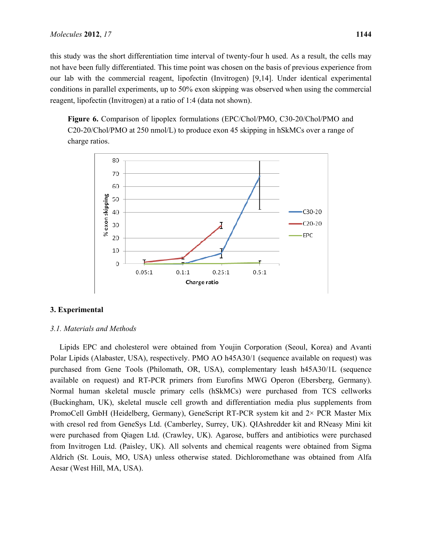this study was the short differentiation time interval of twenty-four h used. As a result, the cells may not have been fully differentiated. This time point was chosen on the basis of previous experience from our lab with the commercial reagent, lipofectin (Invitrogen) [9,14]. Under identical experimental conditions in parallel experiments, up to 50% exon skipping was observed when using the commercial reagent, lipofectin (Invitrogen) at a ratio of 1:4 (data not shown).

**Figure 6.** Comparison of lipoplex formulations (EPC/Chol/PMO, C30-20/Chol/PMO and C20-20/Chol/PMO at 250 nmol/L) to produce exon 45 skipping in hSkMCs over a range of charge ratios.



# **3. Experimental**

### *3.1. Materials and Methods*

Lipids EPC and cholesterol were obtained from Youjin Corporation (Seoul, Korea) and Avanti Polar Lipids (Alabaster, USA), respectively. PMO AO h45A30/1 (sequence available on request) was purchased from Gene Tools (Philomath, OR, USA), complementary leash h45A30/1L (sequence available on request) and RT-PCR primers from Eurofins MWG Operon (Ebersberg, Germany). Normal human skeletal muscle primary cells (hSkMCs) were purchased from TCS cellworks (Buckingham, UK), skeletal muscle cell growth and differentiation media plus supplements from PromoCell GmbH (Heidelberg, Germany), GeneScript RT-PCR system kit and 2× PCR Master Mix with cresol red from GeneSys Ltd. (Camberley, Surrey, UK). QIAshredder kit and RNeasy Mini kit were purchased from Qiagen Ltd. (Crawley, UK). Agarose, buffers and antibiotics were purchased from Invitrogen Ltd. (Paisley, UK). All solvents and chemical reagents were obtained from Sigma Aldrich (St. Louis, MO, USA) unless otherwise stated. Dichloromethane was obtained from Alfa Aesar (West Hill, MA, USA).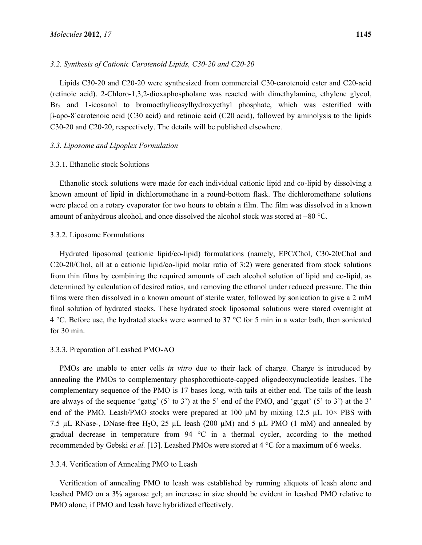# *3.2. Synthesis of Cationic Carotenoid Lipids, C30-20 and C20-20*

Lipids C30-20 and C20-20 were synthesized from commercial C30-carotenoid ester and C20-acid (retinoic acid). 2-Chloro-1,3,2-dioxaphospholane was reacted with dimethylamine, ethylene glycol, Br<sub>2</sub> and 1-icosanol to bromoethylicosylhydroxyethyl phosphate, which was esterified with β-apo-8´carotenoic acid (C30 acid) and retinoic acid (C20 acid), followed by aminolysis to the lipids C30-20 and C20-20, respectively. The details will be published elsewhere.

# *3.3. Liposome and Lipoplex Formulation*

#### 3.3.1. Ethanolic stock Solutions

Ethanolic stock solutions were made for each individual cationic lipid and co-lipid by dissolving a known amount of lipid in dichloromethane in a round-bottom flask. The dichloromethane solutions were placed on a rotary evaporator for two hours to obtain a film. The film was dissolved in a known amount of anhydrous alcohol, and once dissolved the alcohol stock was stored at −80 °C.

# 3.3.2. Liposome Formulations

Hydrated liposomal (cationic lipid/co-lipid) formulations (namely, EPC/Chol, C30-20/Chol and C20-20/Chol, all at a cationic lipid/co-lipid molar ratio of 3:2) were generated from stock solutions from thin films by combining the required amounts of each alcohol solution of lipid and co-lipid, as determined by calculation of desired ratios, and removing the ethanol under reduced pressure. The thin films were then dissolved in a known amount of sterile water, followed by sonication to give a 2 mM final solution of hydrated stocks. These hydrated stock liposomal solutions were stored overnight at 4 °C. Before use, the hydrated stocks were warmed to 37 °C for 5 min in a water bath, then sonicated for 30 min.

#### 3.3.3. Preparation of Leashed PMO-AO

PMOs are unable to enter cells *in vitro* due to their lack of charge. Charge is introduced by annealing the PMOs to complementary phosphorothioate-capped oligodeoxynucleotide leashes. The complementary sequence of the PMO is 17 bases long, with tails at either end. The tails of the leash are always of the sequence 'gattg'  $(5'$  to 3') at the 5' end of the PMO, and 'gtgat'  $(5'$  to 3') at the 3' end of the PMO. Leash/PMO stocks were prepared at 100  $\mu$ M by mixing 12.5  $\mu$ L 10× PBS with 7.5 µL RNase-, DNase-free H<sub>2</sub>O, 25 µL leash (200 µM) and 5 µL PMO (1 mM) and annealed by gradual decrease in temperature from 94 °C in a thermal cycler, according to the method recommended by Gebski *et al.* [13]. Leashed PMOs were stored at 4 °C for a maximum of 6 weeks.

### 3.3.4. Verification of Annealing PMO to Leash

Verification of annealing PMO to leash was established by running aliquots of leash alone and leashed PMO on a 3% agarose gel; an increase in size should be evident in leashed PMO relative to PMO alone, if PMO and leash have hybridized effectively.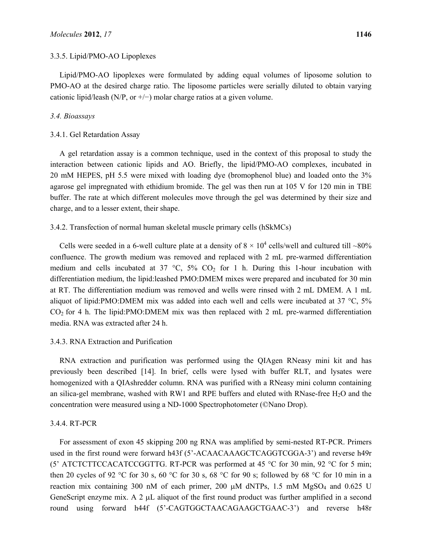Lipid/PMO-AO lipoplexes were formulated by adding equal volumes of liposome solution to PMO-AO at the desired charge ratio. The liposome particles were serially diluted to obtain varying cationic lipid/leash (N/P, or  $+/-$ ) molar charge ratios at a given volume.

# *3.4. Bioassays*

# 3.4.1. Gel Retardation Assay

A gel retardation assay is a common technique, used in the context of this proposal to study the interaction between cationic lipids and AO. Briefly, the lipid/PMO-AO complexes, incubated in 20 mM HEPES, pH 5.5 were mixed with loading dye (bromophenol blue) and loaded onto the 3% agarose gel impregnated with ethidium bromide. The gel was then run at 105 V for 120 min in TBE buffer. The rate at which different molecules move through the gel was determined by their size and charge, and to a lesser extent, their shape.

# 3.4.2. Transfection of normal human skeletal muscle primary cells (hSkMCs)

Cells were seeded in a 6-well culture plate at a density of  $8 \times 10^4$  cells/well and cultured till ~80% confluence. The growth medium was removed and replaced with 2 mL pre-warmed differentiation medium and cells incubated at 37  $\degree$ C, 5% CO<sub>2</sub> for 1 h. During this 1-hour incubation with differentiation medium, the lipid:leashed PMO:DMEM mixes were prepared and incubated for 30 min at RT. The differentiation medium was removed and wells were rinsed with 2 mL DMEM. A 1 mL aliquot of lipid:PMO:DMEM mix was added into each well and cells were incubated at 37 °C, 5%  $CO<sub>2</sub>$  for 4 h. The lipid:PMO:DMEM mix was then replaced with 2 mL pre-warmed differentiation media. RNA was extracted after 24 h.

## 3.4.3. RNA Extraction and Purification

RNA extraction and purification was performed using the QIAgen RNeasy mini kit and has previously been described [14]. In brief, cells were lysed with buffer RLT, and lysates were homogenized with a QIAshredder column. RNA was purified with a RNeasy mini column containing an silica-gel membrane, washed with RW1 and RPE buffers and eluted with RNase-free  $H_2O$  and the concentration were measured using a ND-1000 Spectrophotometer (©Nano Drop).

### 3.4.4. RT-PCR

For assessment of exon 45 skipping 200 ng RNA was amplified by semi-nested RT-PCR. Primers used in the first round were forward h43f (5'-ACAACAAAGCTCAGGTCGGA-3') and reverse h49r (5' ATCTCTTCCACATCCGGTTG. RT-PCR was performed at 45  $^{\circ}$ C for 30 min, 92  $^{\circ}$ C for 5 min; then 20 cycles of 92 °C for 30 s, 60 °C for 30 s, 68 °C for 90 s; followed by 68 °C for 10 min in a reaction mix containing 300 nM of each primer, 200  $\mu$ M dNTPs, 1.5 mM MgSO<sub>4</sub> and 0.625 U GeneScript enzyme mix. A 2 μL aliquot of the first round product was further amplified in a second round using forward h44f (5'-CAGTGGCTAACAGAAGCTGAAC-3') and reverse h48r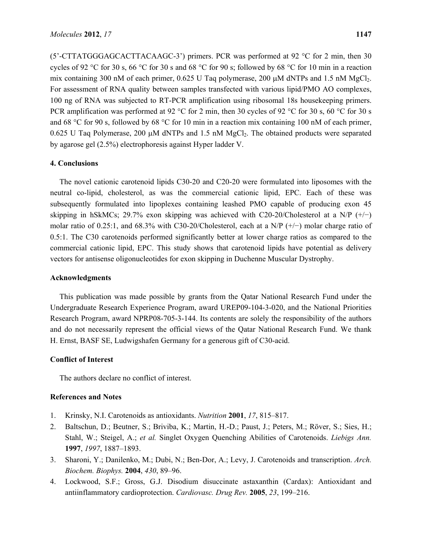(5'-CTTATGGGAGCACTTACAAGC-3') primers. PCR was performed at 92 °C for 2 min, then 30 cycles of 92 °C for 30 s, 66 °C for 30 s and 68 °C for 90 s; followed by 68 °C for 10 min in a reaction mix containing 300 nM of each primer,  $0.625$  U Taq polymerase, 200  $\mu$ M dNTPs and 1.5 nM MgCl<sub>2</sub>. For assessment of RNA quality between samples transfected with various lipid/PMO AO complexes, 100 ng of RNA was subjected to RT-PCR amplification using ribosomal 18s housekeeping primers. PCR amplification was performed at 92 °C for 2 min, then 30 cycles of 92 °C for 30 s, 60 °C for 30 s and 68 °C for 90 s, followed by 68 °C for 10 min in a reaction mix containing 100 nM of each primer,  $0.625$  U Taq Polymerase, 200  $\mu$ M dNTPs and 1.5 nM MgCl<sub>2</sub>. The obtained products were separated by agarose gel (2.5%) electrophoresis against Hyper ladder V.

# **4. Conclusions**

The novel cationic carotenoid lipids C30-20 and C20-20 were formulated into liposomes with the neutral co-lipid, cholesterol, as was the commercial cationic lipid, EPC. Each of these was subsequently formulated into lipoplexes containing leashed PMO capable of producing exon 45 skipping in hSkMCs; 29.7% exon skipping was achieved with C20-20/Cholesterol at a N/P  $(+/-)$ molar ratio of 0.25:1, and 68.3% with C30-20/Cholesterol, each at a N/P  $(+/-)$  molar charge ratio of 0.5:1. The C30 carotenoids performed significantly better at lower charge ratios as compared to the commercial cationic lipid, EPC. This study shows that carotenoid lipids have potential as delivery vectors for antisense oligonucleotides for exon skipping in Duchenne Muscular Dystrophy.

# **Acknowledgments**

This publication was made possible by grants from the Qatar National Research Fund under the Undergraduate Research Experience Program, award UREP09-104-3-020, and the National Priorities Research Program, award NPRP08-705-3-144. Its contents are solely the responsibility of the authors and do not necessarily represent the official views of the Qatar National Research Fund. We thank H. Ernst, BASF SE, Ludwigshafen Germany for a generous gift of C30-acid.

# **Conflict of Interest**

The authors declare no conflict of interest.

# **References and Notes**

- 1. Krinsky, N.I. Carotenoids as antioxidants. *Nutrition* **2001**, *17*, 815–817.
- 2. Baltschun, D.; Beutner, S.; Briviba, K.; Martin, H.-D.; Paust, J.; Peters, M.; Röver, S.; Sies, H.; Stahl, W.; Steigel, A.; *et al.* Singlet Oxygen Quenching Abilities of Carotenoids. *Liebigs Ann.*  **1997**, *1997*, 1887–1893.
- 3. Sharoni, Y.; Danilenko, M.; Dubi, N.; Ben-Dor, A.; Levy, J. Carotenoids and transcription. *Arch. Biochem. Biophys.* **2004**, *430*, 89–96.
- 4. Lockwood, S.F.; Gross, G.J. Disodium disuccinate astaxanthin (Cardax): Antioxidant and antiinflammatory cardioprotection. *Cardiovasc. Drug Rev.* **2005**, *23*, 199–216.